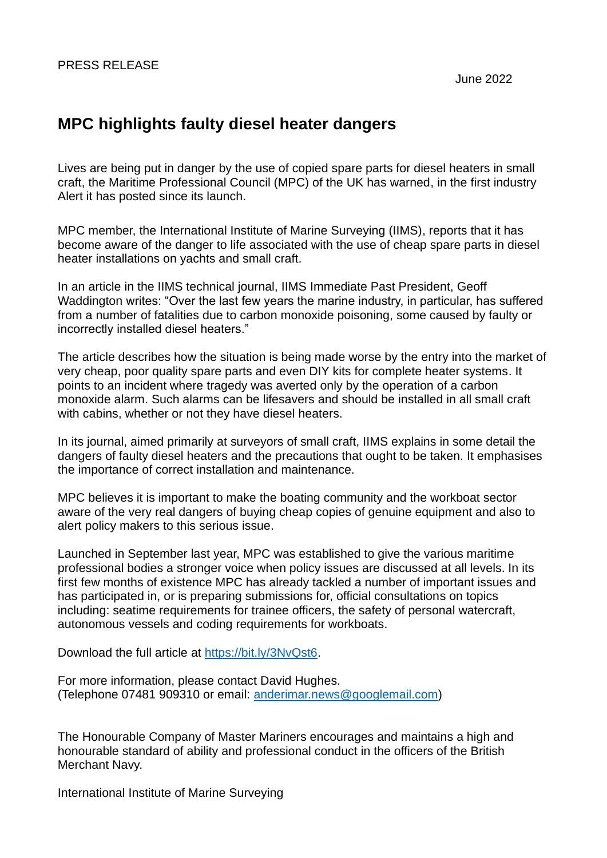# **MPC highlights faulty diesel heater dangers**

Lives are being put in danger by the use of copied spare parts for diesel heaters in small craft, the Maritime Professional Council (MPC) of the UK has warned, in the first industry Alert it has posted since its launch.

MPC member, the International Institute of Marine Surveying (IIMS), reports that it has become aware of the danger to life associated with the use of cheap spare parts in diesel heater installations on yachts and small craft.

In an article in the IIMS technical journal, IIMS Immediate Past President, Geoff Waddington writes: "Over the last few years the marine industry, in particular, has suffered from a number of fatalities due to carbon monoxide poisoning, some caused by faulty or incorrectly installed diesel heaters."

The article describes how the situation is being made worse by the entry into the market of very cheap, poor quality spare parts and even DIY kits for complete heater systems. It points to an incident where tragedy was averted only by the operation of a carbon monoxide alarm. Such alarms can be lifesavers and should be installed in all small craft with cabins, whether or not they have diesel heaters.

In its journal, aimed primarily at surveyors of small craft, IIMS explains in some detail the dangers of faulty diesel heaters and the precautions that ought to be taken. It emphasises the importance of correct installation and maintenance.

MPC believes it is important to make the boating community and the workboat sector aware of the very real dangers of buying cheap copies of genuine equipment and also to alert policy makers to this serious issue.

Launched in September last year, MPC was established to give the various maritime professional bodies a stronger voice when policy issues are discussed at all levels. In its first few months of existence MPC has already tackled a number of important issues and has participated in, or is preparing submissions for, official consultations on topics including: seatime requirements for trainee officers, the safety of personal watercraft, autonomous vessels and coding requirements for workboats.

Download the full article at [https://bit.ly/3NvQst6.](https://bit.ly/3NvQst6)

For more information, please contact David Hughes. (Telephone 07481 909310 or email: [anderimar.news@googlemail.com\)](mailto:anderimar.news@googlemail.com)

The Honourable Company of Master Mariners encourages and maintains a high and honourable standard of ability and professional conduct in the officers of the British Merchant Navy.

International Institute of Marine Surveying